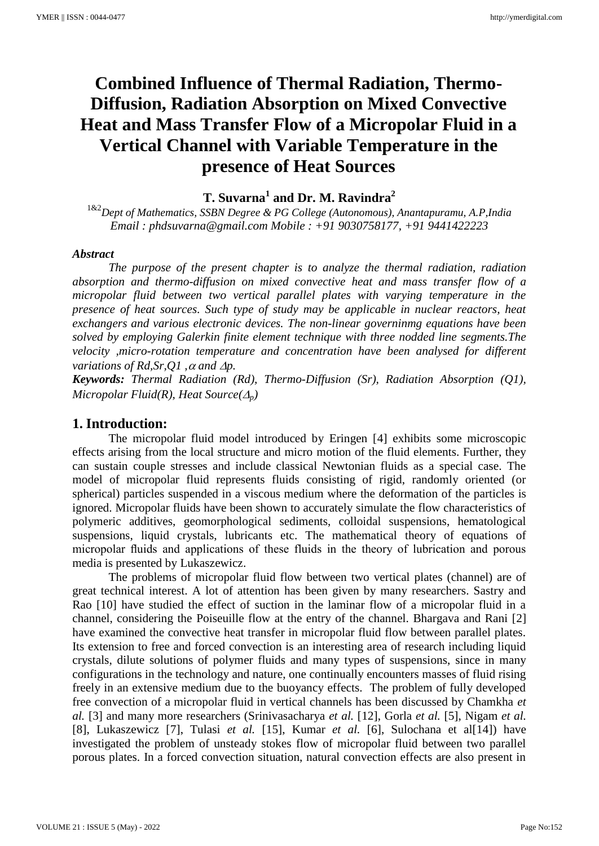# **Combined Influence of Thermal Radiation, Thermo-Diffusion, Radiation Absorption on Mixed Convective Heat and Mass Transfer Flow of a Micropolar Fluid in a Vertical Channel with Variable Temperature in the presence of Heat Sources**

**T. Suvarna<sup>1</sup> and Dr. M. Ravindra<sup>2</sup>**

1&2*Dept of Mathematics, SSBN Degree & PG College (Autonomous), Anantapuramu, A.P,India Email : phdsuvarna@gmail.com Mobile : +91 9030758177, +91 9441422223*

#### *Abstract*

*The purpose of the present chapter is to analyze the thermal radiation, radiation absorption and thermo-diffusion on mixed convective heat and mass transfer flow of a micropolar fluid between two vertical parallel plates with varying temperature in the presence of heat sources. Such type of study may be applicable in nuclear reactors, heat exchangers and various electronic devices. The non-linear governinmg equations have been solved by employing Galerkin finite element technique with three nodded line segments.The velocity ,micro-rotation temperature and concentration have been analysed for different variations of Rd, Sr, Q1*,  $\alpha$  *and*  $\Delta p$ *.* 

*Keywords: Thermal Radiation (Rd), Thermo-Diffusion (Sr), Radiation Absorption (Q1), Micropolar Fluid(R), Heat Source*( $\Delta_n$ )

## **1. Introduction:**

The micropolar fluid model introduced by Eringen [4] exhibits some microscopic effects arising from the local structure and micro motion of the fluid elements. Further, they can sustain couple stresses and include classical Newtonian fluids as a special case. The model of micropolar fluid represents fluids consisting of rigid, randomly oriented (or spherical) particles suspended in a viscous medium where the deformation of the particles is ignored. Micropolar fluids have been shown to accurately simulate the flow characteristics of polymeric additives, geomorphological sediments, colloidal suspensions, hematological suspensions, liquid crystals, lubricants etc. The mathematical theory of equations of micropolar fluids and applications of these fluids in the theory of lubrication and porous media is presented by Lukaszewicz.

The problems of micropolar fluid flow between two vertical plates (channel) are of great technical interest. A lot of attention has been given by many researchers. Sastry and Rao [10] have studied the effect of suction in the laminar flow of a micropolar fluid in a channel, considering the Poiseuille flow at the entry of the channel. Bhargava and Rani [2] have examined the convective heat transfer in micropolar fluid flow between parallel plates. Its extension to free and forced convection is an interesting area of research including liquid crystals, dilute solutions of polymer fluids and many types of suspensions, since in many configurations in the technology and nature, one continually encounters masses of fluid rising freely in an extensive medium due to the buoyancy effects. The problem of fully developed free convection of a micropolar fluid in vertical channels has been discussed by Chamkha *et al.* [3] and many more researchers (Srinivasacharya *et al.* [12], Gorla *et al.* [5], Nigam *et al.* [8], Lukaszewicz [7], Tulasi *et al.* [15], Kumar *et al.* [6], Sulochana et al[14]) have investigated the problem of unsteady stokes flow of micropolar fluid between two parallel porous plates. In a forced convection situation, natural convection effects are also present in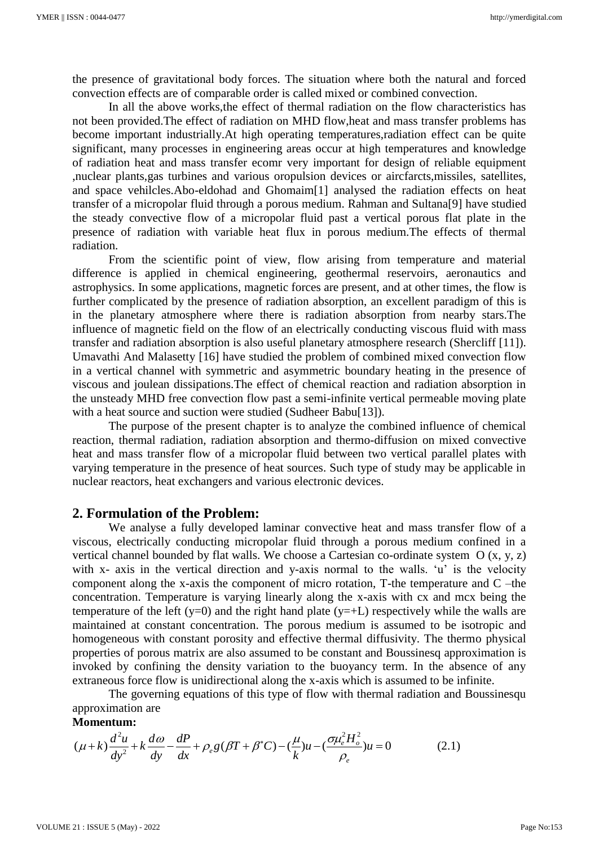the presence of gravitational body forces. The situation where both the natural and forced convection effects are of comparable order is called mixed or combined convection.

In all the above works,the effect of thermal radiation on the flow characteristics has not been provided.The effect of radiation on MHD flow,heat and mass transfer problems has become important industrially.At high operating temperatures,radiation effect can be quite significant, many processes in engineering areas occur at high temperatures and knowledge of radiation heat and mass transfer ecomr very important for design of reliable equipment ,nuclear plants,gas turbines and various oropulsion devices or aircfarcts,missiles, satellites, and space vehilcles.Abo-eldohad and Ghomaim[1] analysed the radiation effects on heat transfer of a micropolar fluid through a porous medium. Rahman and Sultana[9] have studied the steady convective flow of a micropolar fluid past a vertical porous flat plate in the presence of radiation with variable heat flux in porous medium.The effects of thermal radiation.

From the scientific point of view, flow arising from temperature and material difference is applied in chemical engineering, geothermal reservoirs, aeronautics and astrophysics. In some applications, magnetic forces are present, and at other times, the flow is further complicated by the presence of radiation absorption, an excellent paradigm of this is in the planetary atmosphere where there is radiation absorption from nearby stars.The influence of magnetic field on the flow of an electrically conducting viscous fluid with mass transfer and radiation absorption is also useful planetary atmosphere research (Shercliff [11]). Umavathi And Malasetty [16] have studied the problem of combined mixed convection flow in a vertical channel with symmetric and asymmetric boundary heating in the presence of viscous and joulean dissipations.The effect of chemical reaction and radiation absorption in the unsteady MHD free convection flow past a semi-infinite vertical permeable moving plate with a heat source and suction were studied (Sudheer Babu[13]).

The purpose of the present chapter is to analyze the combined influence of chemical reaction, thermal radiation, radiation absorption and thermo-diffusion on mixed convective heat and mass transfer flow of a micropolar fluid between two vertical parallel plates with varying temperature in the presence of heat sources. Such type of study may be applicable in nuclear reactors, heat exchangers and various electronic devices.

### **2. Formulation of the Problem:**

We analyse a fully developed laminar convective heat and mass transfer flow of a viscous, electrically conducting micropolar fluid through a porous medium confined in a vertical channel bounded by flat walls. We choose a Cartesian co-ordinate system O (x, y, z) with x- axis in the vertical direction and y-axis normal to the walls. 'u' is the velocity component along the x-axis the component of micro rotation, T-the temperature and C –the concentration. Temperature is varying linearly along the x-axis with cx and mcx being the temperature of the left (y=0) and the right hand plate (y=+L) respectively while the walls are maintained at constant concentration. The porous medium is assumed to be isotropic and homogeneous with constant porosity and effective thermal diffusivity. The thermo physical properties of porous matrix are also assumed to be constant and Boussinesq approximation is invoked by confining the density variation to the buoyancy term. In the absence of any extraneous force flow is unidirectional along the x-axis which is assumed to be infinite.

The governing equations of this type of flow with thermal radiation and Boussinesqu approximation are

#### **Momentum:**

approximation are  
\n**Momentum:**  
\n
$$
(\mu + k) \frac{d^2 u}{dy^2} + k \frac{d\omega}{dy} - \frac{dP}{dx} + \rho_e g (\beta T + \beta^* C) - (\frac{\mu}{k}) u - (\frac{\sigma \mu_e^2 H_o^2}{\rho_e}) u = 0
$$
\n(2.1)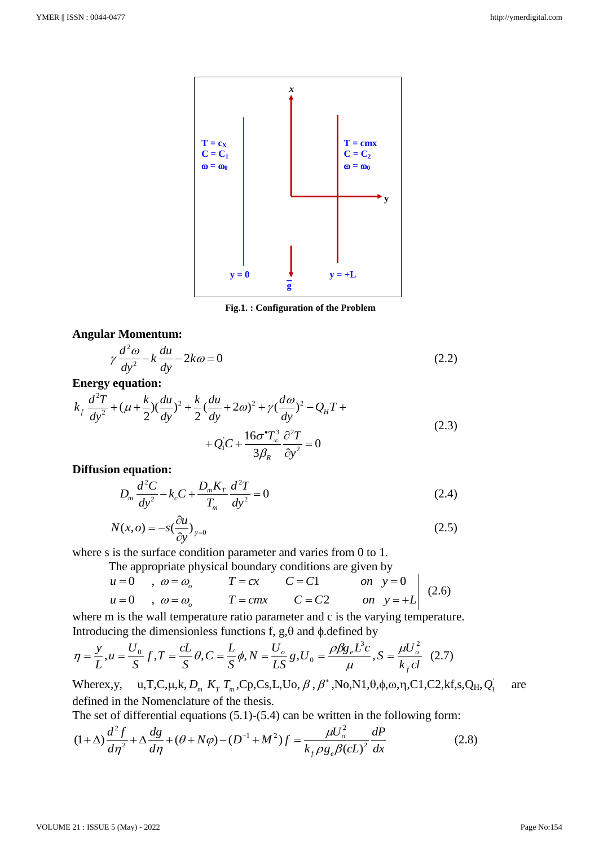

 **Fig.1. : Configuration of the Problem**

## **Angular Momentum:**

$$
\gamma \frac{d^2 \omega}{dy^2} - k \frac{du}{dy} - 2k\omega = 0
$$
\n(2.2)

#### **Energy equation:**

$$
dy = dy
$$
  
\nEnergy equation:  
\n
$$
k_f \frac{d^2T}{dy^2} + (\mu + \frac{k}{2})(\frac{du}{dy})^2 + \frac{k}{2}(\frac{du}{dy} + 2\omega)^2 + \gamma(\frac{d\omega}{dy})^2 - Q_H T +
$$
\n
$$
+ Q_1'C + \frac{16\sigma^*T_{\infty}^3}{3\beta_R} \frac{\partial^2 T}{\partial y^2} = 0
$$
\n(2.3)

## **Diffusion equation:**

$$
D_m \frac{d^2 C}{dy^2} - k_c C + \frac{D_m K_T}{T_m} \frac{d^2 T}{dy^2} = 0
$$
 (2.4)

$$
N(x, o) = -s \left(\frac{\partial u}{\partial y}\right)_{y=0} \tag{2.5}
$$

where s is the surface condition parameter and varies from 0 to 1.

The appropriate physical boundary conditions are given by

is the surface condition parameter and varies from 0 to 1.  
The appropriate physical boundary conditions are given by  

$$
u = 0
$$
,  $\omega = \omega_o$   $T = cx$   $C = C1$  on  $y = 0$   
 $u = 0$ ,  $\omega = \omega_o$   $T = cmx$   $C = C2$  on  $y = +L$  (2.6)

where m is the wall temperature ratio parameter and c is the varying temperature. Introducing the dimensionless functions f,  $g, \theta$  and  $\phi$  defined by

$$
\eta = \frac{y}{L}, u = \frac{U_0}{S}f, T = \frac{cL}{S}\theta, C = \frac{L}{S}\phi, N = \frac{U_o}{LS}g, U_0 = \frac{\rho \beta g_e L^3 c}{\mu}, S = \frac{\mu U_o^2}{k_f c l} \quad (2.7)
$$

Wherex,y,  $u, T, C, \mu, k, D_m$ ,  $K_T$ ,  $T_m$ ,  $C_p$ ,  $C_s$ ,  $L$ ,  $U_o$ ,  $\beta$ ,  $\beta^*$ ,  $N_o$ ,  $N1, \theta, \phi, \omega, \eta$ ,  $C1$ ,  $C2$ ,  $kf$ ,  $s$ ,  $Q_H$ ,  $Q_1$ are defined in the Nomenclature of the thesis.

defined in the Nomenclature of the thesis.  
The set of differential equations (5.1)-(5.4) can be written in the following form:  

$$
(1+\Delta)\frac{d^2f}{d\eta^2} + \Delta\frac{dg}{d\eta} + (\theta + N\varphi) - (D^{-1} + M^2)f = \frac{\mu U_o^2}{k_f \rho g_e \beta (cL)^2} \frac{dP}{dx}
$$
(2.8)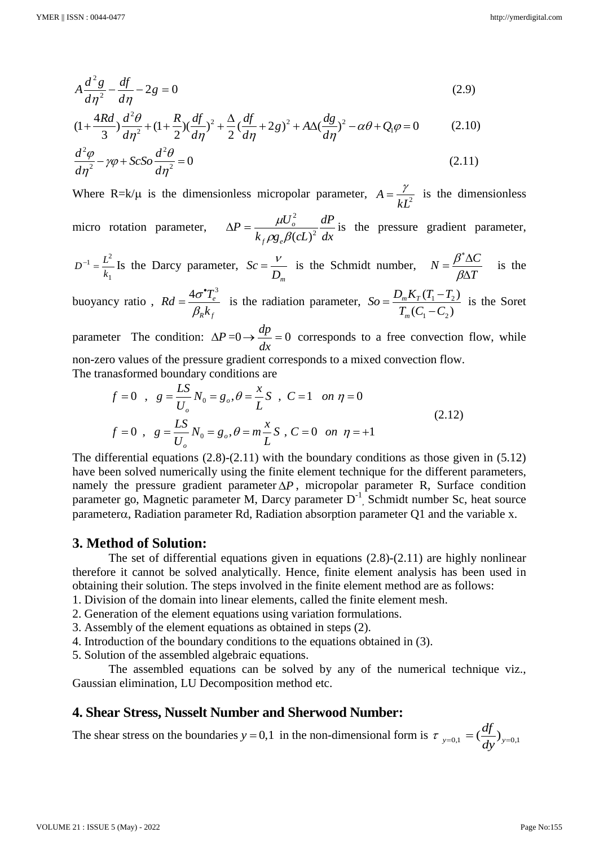$$
A\frac{d^2g}{d\eta^2} - \frac{df}{d\eta} - 2g = 0
$$
\n
$$
(1 + \frac{4Rd}{3})\frac{d^2\theta}{d\eta^2} + (1 + \frac{R}{2})(\frac{df}{d\eta})^2 + \frac{\Delta}{2}(\frac{df}{d\eta} + 2g)^2 + A\Delta(\frac{dg}{d\eta})^2 - \alpha\theta + Q_1\varphi = 0
$$
\n(2.10)

$$
A\frac{d}{d\eta^2} - \frac{df}{d\eta} - 2g = 0
$$
\n
$$
(1 + \frac{4Rd}{3})\frac{d^2\theta}{d\eta^2} + (1 + \frac{R}{2})(\frac{df}{d\eta})^2 + \frac{\Delta}{2}(\frac{df}{d\eta} + 2g)^2 + A\Delta(\frac{dg}{d\eta})^2 - \alpha\theta + Q_1\varphi = 0
$$
\n(2.10)

$$
\frac{d^2\varphi}{d\eta^2} - \gamma\varphi + ScSo \frac{d^2\theta}{d\eta^2} = 0
$$
\n(2.11)

*f e*

Where R=k/ $\mu$  is the dimensionless micropolar parameter,  $A = \frac{7}{kL^2}$  $A = \frac{\gamma}{\sqrt{2}}$  is the dimensionless micro rotation parameter, *dx dP*  $k_f \rho g \partial(cL)$  $P = \frac{\mu U}{1 - \mu V}$ *o* 2 2  $\rho g \mathstrut_{e} \beta(cL)$  $\Delta P = \frac{\mu U_o}{\sigma^2 m^2} \frac{dP}{dr}$  is the pressure gradient parameter,

$$
D^{-1} = \frac{L^2}{k_1}
$$
 Is the Darcy parameter,  $Sc = \frac{V}{D_m}$  is the Schmidt number,  $N = \frac{\beta^* \Delta C}{\beta \Delta T}$  is the

buoyancy ratio ,  $4\sigma^\bullet T_e^3$ *R f*  $Rd = \frac{4\sigma^{\bullet}T}{2\sigma^{\bullet}}$ *k*  $\sigma$  $\beta_i$  $\bullet$  $=$  $\frac{40 I_e}{g}$  is the radiation parameter,  $\delta o = \frac{D_m \Lambda_T (I_1 - I_2)}{g}$  $v_1 - c_2$  $(T_1 - T_2)$  $\overline{(C_1 - C_2)}$  $T_m$  $\mathbf{\Lambda}_T$ *m*  $So = \frac{D_m K_T (T_1 - T_2)}{T_2 (T_1 - T_2)}$  $\overline{T_m(C_1-C)}$  $=\frac{D_m K_T (T_1 \overline{a}$ is the Soret

parameter The condition:  $\Delta P = 0 \rightarrow \frac{dp}{l} = 0$ *dx*  $\frac{dp}{dr} = 0$  corresponds to a free convection flow, while

non-zero values of the pressure gradient corresponds to a mixed convection flow.  
\nThe transformed boundary conditions are  
\n
$$
f = 0
$$
,  $g = \frac{LS}{U_o} N_0 = g_o, \theta = \frac{x}{L} S$ ,  $C = 1$  on  $\eta = 0$   
\n $f = 0$ ,  $g = \frac{LS}{U_o} N_0 = g_o, \theta = m\frac{x}{L} S$ ,  $C = 0$  on  $\eta = +1$  (2.12)

The differential equations  $(2.8)-(2.11)$  with the boundary conditions as those given in  $(5.12)$ have been solved numerically using the finite element technique for the different parameters, namely the pressure gradient parameter  $\Delta P$ , micropolar parameter R, Surface condition parameter go, Magnetic parameter M, Darcy parameter D<sup>-1</sup>, Schmidt number Sc, heat source parameter $\alpha$ , Radiation parameter Rd, Radiation absorption parameter Q1 and the variable x.

## **3. Method of Solution:**

The set of differential equations given in equations (2.8)-(2.11) are highly nonlinear therefore it cannot be solved analytically. Hence, finite element analysis has been used in obtaining their solution. The steps involved in the finite element method are as follows:

- 1. Division of the domain into linear elements, called the finite element mesh.
- 2. Generation of the element equations using variation formulations.
- 3. Assembly of the element equations as obtained in steps (2).
- 4. Introduction of the boundary conditions to the equations obtained in (3).
- 5. Solution of the assembled algebraic equations.

The assembled equations can be solved by any of the numerical technique viz., Gaussian elimination, LU Decomposition method etc.

## **4. Shear Stress, Nusselt Number and Sherwood Number:**

The shear stress on the boundaries  $y = 0,1$  in the non-dimensional form is  $\tau_{y=0,1} = \left(\frac{dy}{dx}\right)_{y=0,1}$ *df*  $\tau_{y=0,1} = \left(\frac{dy}{dy}\right)_{y=0}$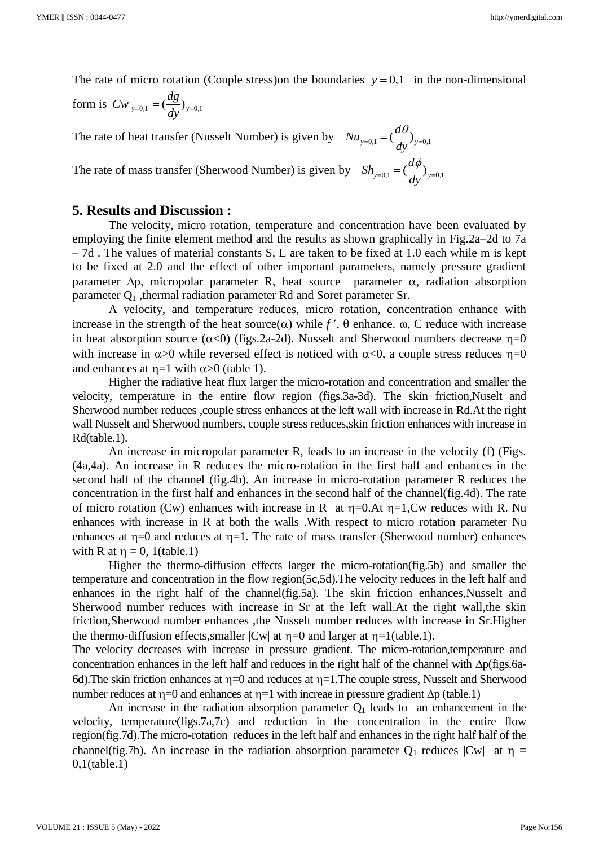The rate of micro rotation (Couple stress) on the boundaries  $y = 0,1$  in the non-dimensional

form is  $Cw_{y=0,1} = \left(\frac{dg}{dy}\right)_{y=0,1}$ 

The rate of heat transfer (Nusselt Number) is given by  $Nu_{y=0,1} = \left(\frac{d\theta}{dx}\right)_{y=0,1}$  $Nu_{v=0.1} = (\frac{d}{d})$ *dy*  $_{=0,1} = \left(\frac{d\theta}{dx}\right)_{y=0}$ The rate of mass transfer (Sherwood Number) is given by  $Sh_{y=0,1} = \left(\frac{d\varphi}{dx}\right)_{y=0,1}$  $Sh_{v=0.1} = (\frac{d}{2})$ *dy*  $_{=0,1} = \left(\frac{d\phi}{dx}\right)_{y=0}$ 

# **5. Results and Discussion :**

The velocity, micro rotation, temperature and concentration have been evaluated by employing the finite element method and the results as shown graphically in Fig.2a–2d to 7a – 7d . The values of material constants S, L are taken to be fixed at 1.0 each while m is kept to be fixed at 2.0 and the effect of other important parameters, namely pressure gradient parameter  $\Delta p$ , micropolar parameter R, heat source parameter  $\alpha$ , radiation absorption parameter  $Q_1$ , thermal radiation parameter Rd and Soret parameter Sr.

A velocity, and temperature reduces, micro rotation, concentration enhance with increase in the strength of the heat source( $\alpha$ ) while f',  $\theta$  enhance.  $\omega$ , C reduce with increase in heat absorption source ( $\alpha$ <0) (figs.2a-2d). Nusselt and Sherwood numbers decrease  $\eta$ =0 with increase in  $\alpha > 0$  while reversed effect is noticed with  $\alpha < 0$ , a couple stress reduces  $\eta = 0$ and enhances at  $\eta =1$  with  $\alpha > 0$  (table 1).

Higher the radiative heat flux larger the micro-rotation and concentration and smaller the velocity, temperature in the entire flow region (figs.3a-3d). The skin friction,Nuselt and Sherwood number reduces ,couple stress enhances at the left wall with increase in Rd.At the right wall Nusselt and Sherwood numbers, couple stress reduces,skin friction enhances with increase in Rd(table.1).

An increase in micropolar parameter R, leads to an increase in the velocity (f) (Figs. (4a,4a). An increase in R reduces the micro-rotation in the first half and enhances in the second half of the channel (fig.4b). An increase in micro-rotation parameter R reduces the concentration in the first half and enhances in the second half of the channel(fig.4d). The rate of micro rotation (Cw) enhances with increase in R at  $\eta$ =0.At  $\eta$ =1,Cw reduces with R. Nu enhances with increase in R at both the walls .With respect to micro rotation parameter Nu enhances at  $\eta=0$  and reduces at  $\eta=1$ . The rate of mass transfer (Sherwood number) enhances with R at  $\eta = 0$ , 1(table.1)

Higher the thermo-diffusion effects larger the micro-rotation(fig.5b) and smaller the temperature and concentration in the flow region(5c,5d).The velocity reduces in the left half and enhances in the right half of the channel(fig.5a). The skin friction enhances,Nusselt and Sherwood number reduces with increase in Sr at the left wall.At the right wall,the skin friction,Sherwood number enhances ,the Nusselt number reduces with increase in Sr.Higher the thermo-diffusion effects, smaller  $|Cw|$  at  $\eta=0$  and larger at  $\eta=1$ (table.1).

The velocity decreases with increase in pressure gradient. The micro-rotation,temperature and concentration enhances in the left half and reduces in the right half of the channel with  $\Delta p$ (figs.6a-6d). The skin friction enhances at  $\eta=0$  and reduces at  $\eta=1$ . The couple stress, Nusselt and Sherwood number reduces at  $\eta=0$  and enhances at  $\eta=1$  with increae in pressure gradient  $\Delta p$  (table.1)

An increase in the radiation absorption parameter  $Q_1$  leads to an enhancement in the velocity, temperature(figs.7a,7c) and reduction in the concentration in the entire flow region(fig.7d).The micro-rotation reduces in the left half and enhances in the right half half of the channel(fig.7b). An increase in the radiation absorption parameter  $Q_1$  reduces  $|Cw|$  at  $\eta =$ 0,1(table.1)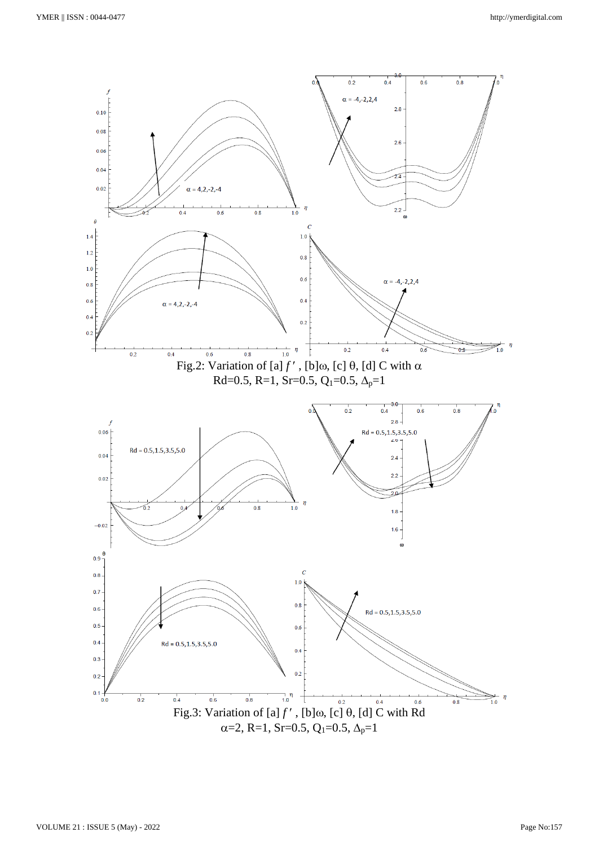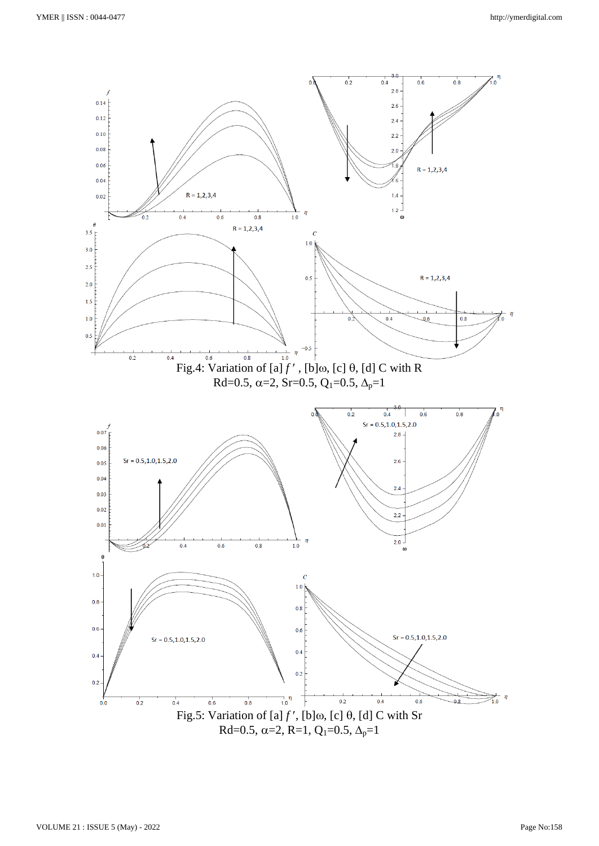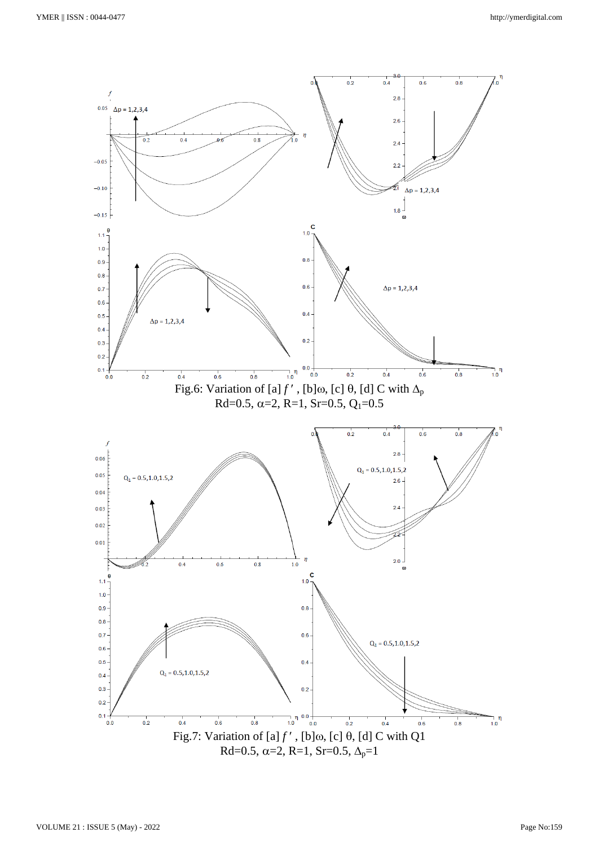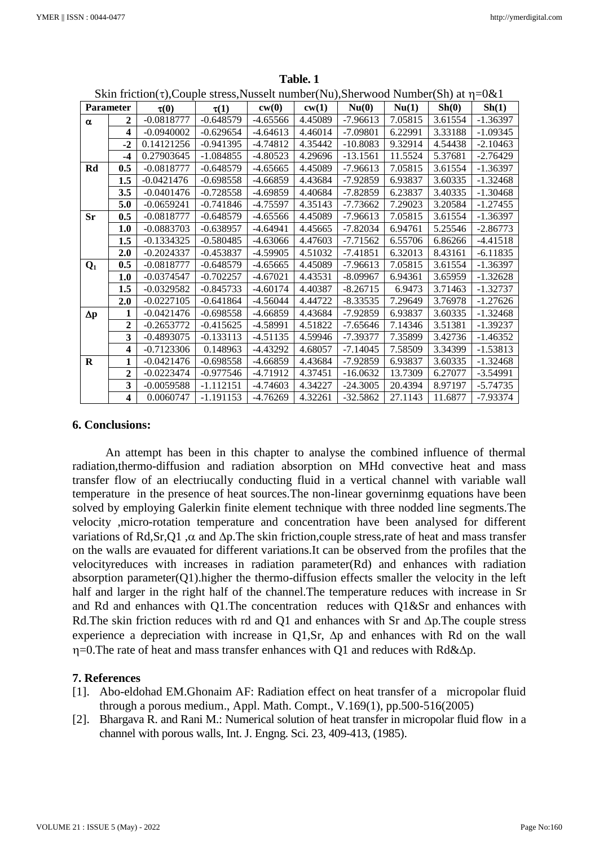| <b>Parameter</b> |                         |              | $\sum_{i=1}^{n} \sum_{i=1}^{n} \sum_{j=1}^{n} \sum_{j=1}^{n} \sum_{j=1}^{n} \sum_{i=1}^{n} \sum_{j=1}^{n} \sum_{j=1}^{n} \sum_{j=1}^{n} \sum_{j=1}^{n} \sum_{j=1}^{n} \sum_{j=1}^{n} \sum_{j=1}^{n} \sum_{j=1}^{n} \sum_{j=1}^{n} \sum_{j=1}^{n} \sum_{j=1}^{n} \sum_{j=1}^{n} \sum_{j=1}^{n} \sum_{j=1}^{n} \sum_{j=1}^{n} \sum_{j=1}^{n}$ | cw(0)      |         | Nu(0)      | Nu(1)   | Sh(0)   | Sh(1)      |
|------------------|-------------------------|--------------|---------------------------------------------------------------------------------------------------------------------------------------------------------------------------------------------------------------------------------------------------------------------------------------------------------------------------------------------|------------|---------|------------|---------|---------|------------|
|                  |                         | $\tau(0)$    | $\tau(1)$                                                                                                                                                                                                                                                                                                                                   |            | cw(1)   |            |         |         |            |
| $\alpha$         | $\mathbf{2}$            | $-0.0818777$ | $-0.648579$                                                                                                                                                                                                                                                                                                                                 | $-4.65566$ | 4.45089 | $-7.96613$ | 7.05815 | 3.61554 | $-1.36397$ |
|                  | $\overline{\mathbf{4}}$ | $-0.0940002$ | $-0.629654$                                                                                                                                                                                                                                                                                                                                 | $-4.64613$ | 4.46014 | $-7.09801$ | 6.22991 | 3.33188 | $-1.09345$ |
|                  | $-2$                    | 0.14121256   | $-0.941395$                                                                                                                                                                                                                                                                                                                                 | $-4.74812$ | 4.35442 | $-10.8083$ | 9.32914 | 4.54438 | $-2.10463$ |
|                  | $-4$                    | 0.27903645   | $-1.084855$                                                                                                                                                                                                                                                                                                                                 | $-4.80523$ | 4.29696 | $-13.1561$ | 11.5524 | 5.37681 | $-2.76429$ |
| Rd               | 0.5                     | $-0.0818777$ | $-0.648579$                                                                                                                                                                                                                                                                                                                                 | $-4.65665$ | 4.45089 | $-7.96613$ | 7.05815 | 3.61554 | $-1.36397$ |
|                  | 1.5                     | $-0.0421476$ | $-0.698558$                                                                                                                                                                                                                                                                                                                                 | -4.66859   | 4.43684 | -7.92859   | 6.93837 | 3.60335 | $-1.32468$ |
|                  | 3.5                     | $-0.0401476$ | $-0.728558$                                                                                                                                                                                                                                                                                                                                 | $-4.69859$ | 4.40684 | $-7.82859$ | 6.23837 | 3.40335 | $-1.30468$ |
|                  | 5.0                     | $-0.0659241$ | $-0.741846$                                                                                                                                                                                                                                                                                                                                 | $-4.75597$ | 4.35143 | $-7.73662$ | 7.29023 | 3.20584 | $-1.27455$ |
| <b>Sr</b>        | 0.5                     | $-0.0818777$ | $-0.648579$                                                                                                                                                                                                                                                                                                                                 | $-4.65566$ | 4.45089 | $-7.96613$ | 7.05815 | 3.61554 | $-1.36397$ |
|                  | 1.0                     | $-0.0883703$ | $-0.638957$                                                                                                                                                                                                                                                                                                                                 | $-4.64941$ | 4.45665 | $-7.82034$ | 6.94761 | 5.25546 | $-2.86773$ |
|                  | 1.5                     | $-0.1334325$ | $-0.580485$                                                                                                                                                                                                                                                                                                                                 | $-4.63066$ | 4.47603 | $-7.71562$ | 6.55706 | 6.86266 | $-4.41518$ |
|                  | 2.0                     | $-0.2024337$ | $-0.453837$                                                                                                                                                                                                                                                                                                                                 | $-4.59905$ | 4.51032 | $-7.41851$ | 6.32013 | 8.43161 | $-6.11835$ |
| $Q_1$            | 0.5                     | $-0.0818777$ | $-0.648579$                                                                                                                                                                                                                                                                                                                                 | $-4.65665$ | 4.45089 | $-7.96613$ | 7.05815 | 3.61554 | $-1.36397$ |
|                  | 1.0                     | $-0.0374547$ | $-0.702257$                                                                                                                                                                                                                                                                                                                                 | $-4.67021$ | 4.43531 | $-8.09967$ | 6.94361 | 3.65959 | $-1.32628$ |
|                  | 1.5                     | $-0.0329582$ | $-0.845733$                                                                                                                                                                                                                                                                                                                                 | $-4.60174$ | 4.40387 | $-8.26715$ | 6.9473  | 3.71463 | $-1.32737$ |
|                  | 2.0                     | $-0.0227105$ | $-0.641864$                                                                                                                                                                                                                                                                                                                                 | $-4.56044$ | 4.44722 | $-8.33535$ | 7.29649 | 3.76978 | $-1.27626$ |
| $\Delta p$       | 1                       | $-0.0421476$ | $-0.698558$                                                                                                                                                                                                                                                                                                                                 | $-4.66859$ | 4.43684 | -7.92859   | 6.93837 | 3.60335 | $-1.32468$ |
|                  | $\boldsymbol{2}$        | $-0.2653772$ | $-0.415625$                                                                                                                                                                                                                                                                                                                                 | $-4.58991$ | 4.51822 | $-7.65646$ | 7.14346 | 3.51381 | $-1.39237$ |
|                  | 3                       | $-0.4893075$ | $-0.133113$                                                                                                                                                                                                                                                                                                                                 | $-4.51135$ | 4.59946 | $-7.39377$ | 7.35899 | 3.42736 | $-1.46352$ |
|                  | $\overline{\mathbf{4}}$ | $-0.7123306$ | 0.148963                                                                                                                                                                                                                                                                                                                                    | $-4.43292$ | 4.68057 | $-7.14045$ | 7.58509 | 3.34399 | $-1.53813$ |
| $\bf R$          | 1                       | $-0.0421476$ | $-0.698558$                                                                                                                                                                                                                                                                                                                                 | $-4.66859$ | 4.43684 | -7.92859   | 6.93837 | 3.60335 | $-1.32468$ |
|                  | $\mathbf{2}$            | $-0.0223474$ | $-0.977546$                                                                                                                                                                                                                                                                                                                                 | -4.71912   | 4.37451 | $-16.0632$ | 13.7309 | 6.27077 | $-3.54991$ |
|                  | 3                       | $-0.0059588$ | $-1.112151$                                                                                                                                                                                                                                                                                                                                 | $-4.74603$ | 4.34227 | $-24.3005$ | 20.4394 | 8.97197 | $-5.74735$ |
|                  | $\overline{\mathbf{4}}$ | 0.0060747    | $-1.191153$                                                                                                                                                                                                                                                                                                                                 | $-4.76269$ | 4.32261 | $-32.5862$ | 27.1143 | 11.6877 | $-7.93374$ |

**Table. 1** Skin friction( $\tau$ ), Couple stress, Nusselt number(Nu), Sherwood Number(Sh) at  $\eta = 0\&1$ 

#### **6. Conclusions:**

An attempt has been in this chapter to analyse the combined influence of thermal radiation,thermo-diffusion and radiation absorption on MHd convective heat and mass transfer flow of an electriucally conducting fluid in a vertical channel with variable wall temperature in the presence of heat sources.The non-linear governinmg equations have been solved by employing Galerkin finite element technique with three nodded line segments.The velocity ,micro-rotation temperature and concentration have been analysed for different variations of Rd,Sr,Q1,  $\alpha$  and  $\Delta p$ . The skin friction,couple stress, rate of heat and mass transfer on the walls are evauated for different variations.It can be observed from the profiles that the velocityreduces with increases in radiation parameter(Rd) and enhances with radiation absorption parameter( $Q1$ ).higher the thermo-diffusion effects smaller the velocity in the left half and larger in the right half of the channel.The temperature reduces with increase in Sr and Rd and enhances with Q1.The concentration reduces with Q1&Sr and enhances with Rd. The skin friction reduces with rd and Q1 and enhances with Sr and  $\Delta p$ . The couple stress experience a depreciation with increase in Q1, Sr,  $\Delta p$  and enhances with Rd on the wall  $\eta$ =0.The rate of heat and mass transfer enhances with Q1 and reduces with Rd& $\Delta p$ .

#### **7. References**

- [1]. Abo-eldohad EM.Ghonaim AF: Radiation effect on heat transfer of a micropolar fluid through a porous medium., Appl. Math. Compt., V.169(1), pp.500-516(2005)
- [2]. Bhargava R. and Rani M.: Numerical solution of heat transfer in micropolar fluid flow in a channel with porous walls, Int. J. Engng. Sci. 23, 409-413, (1985).